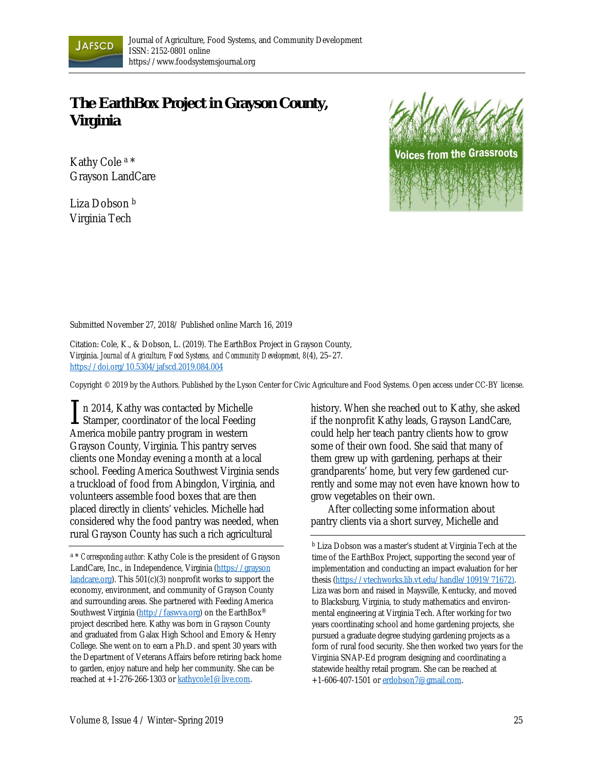

## **The EarthBox Project in Grayson County, Virginia**

Kathy Cole a \* Grayson LandCare

Liza Dobson b Virginia Tech



Submitted November 27, 2018/ Published online March 16, 2019

Citation: Cole, K., & Dobson, L. (2019). The EarthBox Project in Grayson County, Virginia. *Journal of Agriculture, Food Systems, and Community Development, 8*(4), 25–27. https://doi.org/10.5304/jafscd.2019.084.004

Copyright © 2019 by the Authors. Published by the Lyson Center for Civic Agriculture and Food Systems. Open access under CC-BY license.

n 2014, Kathy was contacted by Michelle In 2014, Kathy was contacted by Michelle<br>Stamper, coordinator of the local Feeding America mobile pantry program in western Grayson County, Virginia. This pantry serves clients one Monday evening a month at a local school. Feeding America Southwest Virginia sends a truckload of food from Abingdon, Virginia, and volunteers assemble food boxes that are then placed directly in clients' vehicles. Michelle had considered why the food pantry was needed, when rural Grayson County has such a rich agricultural

history. When she reached out to Kathy, she asked if the nonprofit Kathy leads, Grayson LandCare, could help her teach pantry clients how to grow some of their own food. She said that many of them grew up with gardening, perhaps at their grandparents' home, but very few gardened currently and some may not even have known how to grow vegetables on their own.

 After collecting some information about pantry clients via a short survey, Michelle and

b Liza Dobson was a master's student at Virginia Tech at the time of the EarthBox Project, supporting the second year of implementation and conducting an impact evaluation for her thesis (https://vtechworks.lib.vt.edu/handle/10919/71672). Liza was born and raised in Maysville, Kentucky, and moved to Blacksburg, Virginia, to study mathematics and environmental engineering at Virginia Tech. After working for two years coordinating school and home gardening projects, she pursued a graduate degree studying gardening projects as a form of rural food security. She then worked two years for the Virginia SNAP-Ed program designing and coordinating a statewide healthy retail program. She can be reached at +1-606-407-1501 or erdobson7@gmail.com.

a \* *Corresponding author:* Kathy Cole is the president of Grayson [LandCare, Inc., in Independence, Virginia \(https://grayson](https://graysonlandcare.org)  landcare.org). This 501(c)(3) nonprofit works to support the economy, environment, and community of Grayson County and surrounding areas. She partnered with Feeding America Southwest Virginia (http://faswva.org) on the EarthBox® project described here. Kathy was born in Grayson County and graduated from Galax High School and Emory & Henry College. She went on to earn a Ph.D. and spent 30 years with the Department of Veterans Affairs before retiring back home to garden, enjoy nature and help her community. She can be reached at +1-276-266-1303 or kathycole1@live.com.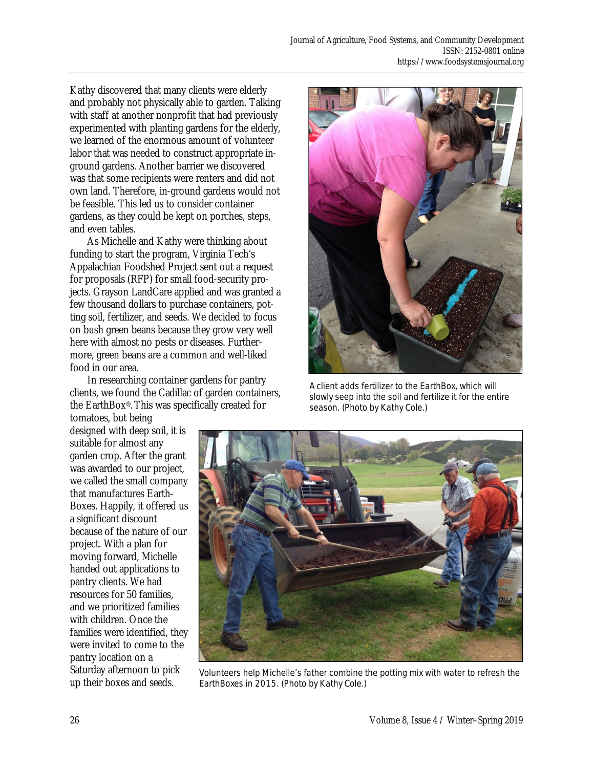Kathy discovered that many clients were elderly and probably not physically able to garden. Talking with staff at another nonprofit that had previously experimented with planting gardens for the elderly, we learned of the enormous amount of volunteer labor that was needed to construct appropriate inground gardens. Another barrier we discovered was that some recipients were renters and did not own land. Therefore, in-ground gardens would not be feasible. This led us to consider container gardens, as they could be kept on porches, steps, and even tables.

 As Michelle and Kathy were thinking about funding to start the program, Virginia Tech's Appalachian Foodshed Project sent out a request for proposals (RFP) for small food-security projects. Grayson LandCare applied and was granted a few thousand dollars to purchase containers, potting soil, fertilizer, and seeds. We decided to focus on bush green beans because they grow very well here with almost no pests or diseases. Furthermore, green beans are a common and well-liked food in our area.

 In researching container gardens for pantry clients, we found the Cadillac of garden containers, the EarthBox®. This was specifically created for

tomatoes, but being designed with deep soil, it is suitable for almost any garden crop. After the grant was awarded to our project, we called the small company that manufactures Earth-Boxes. Happily, it offered us a significant discount because of the nature of our project. With a plan for moving forward, Michelle handed out applications to pantry clients. We had resources for 50 families, and we prioritized families with children. Once the families were identified, they were invited to come to the pantry location on a

Saturday afternoon to pick up their boxes and seeds.



A client adds fertilizer to the EarthBox, which will slowly seep into the soil and fertilize it for the entire season. (Photo by Kathy Cole.)



Volunteers help Michelle's father combine the potting mix with water to refresh the EarthBoxes in 2015. (Photo by Kathy Cole.)